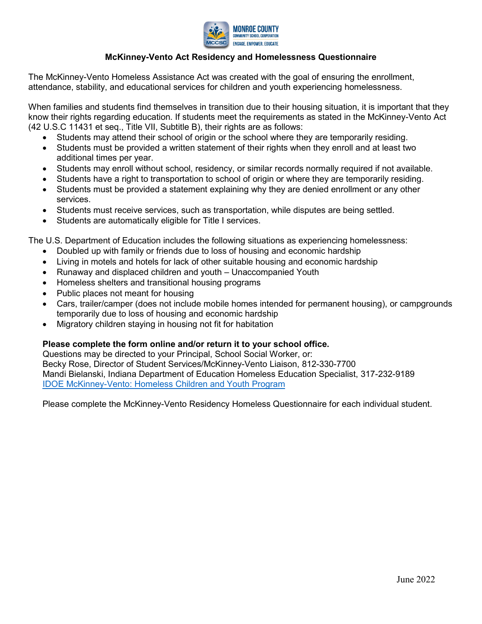

## **McKinney-Vento Act Residency and Homelessness Questionnaire**

The McKinney-Vento Homeless Assistance Act was created with the goal of ensuring the enrollment, attendance, stability, and educational services for children and youth experiencing homelessness.

When families and students find themselves in transition due to their housing situation, it is important that they know their rights regarding education. If students meet the requirements as stated in the McKinney-Vento Act (42 U.S.C 11431 et seq., Title VII, Subtitle B), their rights are as follows:

- Students may attend their school of origin or the school where they are temporarily residing.
- Students must be provided a written statement of their rights when they enroll and at least two additional times per year.
- Students may enroll without school, residency, or similar records normally required if not available.
- Students have a right to transportation to school of origin or where they are temporarily residing.
- Students must be provided a statement explaining why they are denied enrollment or any other services.
- Students must receive services, such as transportation, while disputes are being settled.
- Students are automatically eligible for Title I services.

The U.S. Department of Education includes the following situations as experiencing homelessness:

- Doubled up with family or friends due to loss of housing and economic hardship
- Living in motels and hotels for lack of other suitable housing and economic hardship
- Runaway and displaced children and youth Unaccompanied Youth
- Homeless shelters and transitional housing programs
- Public places not meant for housing
- Cars, trailer/camper (does not include mobile homes intended for permanent housing), or campgrounds temporarily due to loss of housing and economic hardship
- Migratory children staying in housing not fit for habitation

## **Please complete the form online and/or return it to your school office.**

Questions may be directed to your Principal, School Social Worker, or: Becky Rose, Director of Student Services/McKinney-Vento Liaison, 812-330-7700 Mandi Bielanski, Indiana Department of Education Homeless Education Specialist, 317-232-9189 [IDOE McKinney-Vento: Homeless Children and Youth Program](https://www.in.gov/doe/home/mckinney-vento-homeless-children-and-youth-program/)

Please complete the McKinney-Vento Residency Homeless Questionnaire for each individual student.